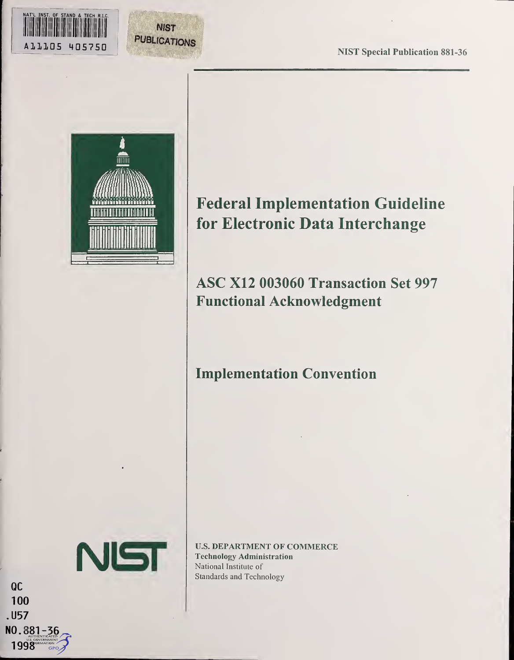



NIST Special Publication 881-36



## Federal Implementation Guideline for Electronic Data Interchange

## ASC X12 003060 Transaction Set 997 Functional Acknowledgment

## Implementation Convention

Nisr

QC 100

.U57

NO. 881 -36

1998

U.S. DEPARTMENT OF COMMERCE Technology Administration National Institute of Standards and Technology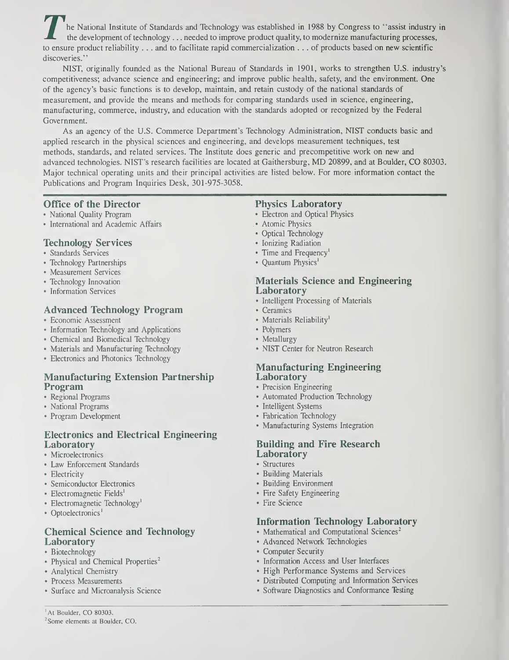he National Institute of Standards and Technology was established in 1988 by Congress to "assist industry in the development of technology . . . needed to improve product quality, to modernize manufacturing processes, to ensure product reliability . . . and to facilitate rapid commercialization ... of products based on new scientific discoveries."

NIST, originally founded as the National Bureau of Standards in 1901, works to strengthen U.S. industry's competitiveness; advance science and engineering; and improve public health, safety, and the environment. One of the agency's basic functions is to develop, maintain, and retain custody of the national standards of measurement, and provide the means and methods for comparing standards used in science, engineering, manufacturing, commerce, industry, and education with the standards adopted or recognized by the Federal Government.

As an agency of the U.S. Commerce Department's Technology Administration, NIST conducts basic and applied research in the physical sciences and engineering, and develops measurement techniques, test methods, standards, and related services. The Institute does generic and precompetitive work on new and advanced technologies. NIST's research facilities are located at Gaithersburg, MD 20899, and at Boulder, CO 80303. Major technical operating units and their principal activities are listed below. For more information contact the Publications and Program Inquiries Desk, 301-975-3058.

## Office of the Director

- National Quality Program
- International and Academic Affairs

## Technology Services

- Standards Services
- Technology Partnerships
- Measurement Services
- Technology Innovation
- Information Services

## Advanced Technology Program

- Economic Assessment
- Information Technology and Applications
- Chemical and Biomedical Technology
- Materials and Manufacturing Technology
- Electronics and Photonics Technology

## Manufacturing Extension Partnership Program

- Regional Programs
- National Programs
- Program Development

## Electronics and Electrical Engineering Laboratory

- Microelectronics
- Law Enforcement Standards
- Electricity
- Semiconductor Electronics
- Electromagnetic Fields'
- Electromagnetic Technology<sup>1</sup>
- Optoelectronics<sup>1</sup>

## Chemical Science and Technology Laboratory

- Biotechnology
- Physical and Chemical Properties<sup>2</sup>
- Analytical Chemistry
- Process Measurements
- Surface and Microanalysis Science

## Physics Laboratory

- Electron and Optical Physics
- . Atomic Physics
- Optical Technology
- Ionizing Radiation
- Time and Frequency<sup>1</sup>
- Quantum Physics'

## Materials Science and Engineering Laboratory

- Intelligent Processing of Materials
- Ceramics
- Materials Reliability'
- Polymers
- Metallurgy
- NIST Center for Neutron Research

## Manufacturing Engineering Laboratory

- Precision Engineering
- Automated Production Technology
- Intelligent Systems
- Fabrication Technology
- Manufacturing Systems Integration

## Building and Fire Research Laboratory

- Structures
- Building Materials
- Building Environment
- Fire Safety Engineering
- Fire Science

## Information Technology Laboratory

- Mathematical and Computational Sciences<sup>2</sup>
- Advanced Network Technologies
- Computer Security
- Information Access and User Interfaces
- High Performance Systems and Services
- Distributed Computing and Information Services
- Software Diagnostics and Conformance Testing

'At Boulder, CO 80303.

#### $2$ Some elements at Boulder, CO.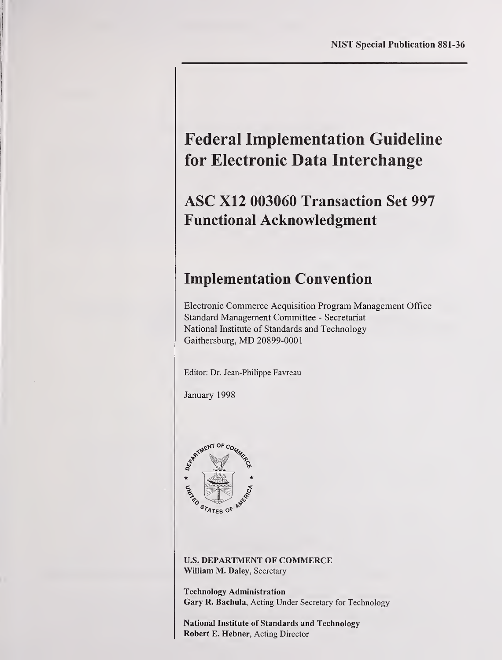## Federal Implementation Guideline for Electronic Data Interchange

## ASC X12 003060 Transaction Set 997 Functional Acknowledgment

## Implementation Convention

Electronic Commerce Acquisition Program Management Office Standard Management Committee - Secretariat National Institute of Standards and Technology Gaithersburg, MD 20899-0001

Editor: Dr. Jean-Philippe Favreau

January 1998



U.S. DEPARTMENT OF COMMERCE William M. Daley, Secretary

Technology Administration Gary R. Bachula, Acting Under Secretary for Technology

National Institute of Standards and Technology Robert E. Hebner, Acting Director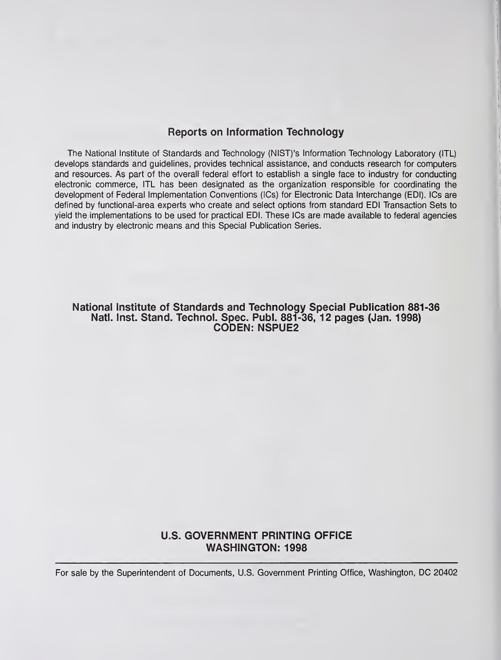## Reports on Information Technology

The National Institute of Standards and Technology (NIST)'s Information Technology Laboratory (ITL) develops standards and guidelines, provides technical assistance, and conducts research for computers and resources. As part of the overall federal effort to establish a single face to industry for conducting electronic commerce, ITL has been designated as the organization responsible for coordinating the development of Federal Implementation Conventions (ICs) for Electronic Data Interchange (EDI). ICs are defined by functional-area experts who create and select options from standard EDI Transaction Sets to yield the implementations to be used for practical EDI. These ICs are made available to federal agencies and industry by electronic means and this Special Publication Series.

#### National Institute of Standards and Technology Special Publication 881-36 Natl. Inst. Stand. Technol. Spec. Publ. 881-36, 12 pages (Jan. 1998) CODEN: NSPUE2

## U.S. GOVERNMENT PRINTING OFFICE WASHINGTON: 1998

For sale by the Superintendent of Documents, U.S. Government Printing Office, Washington, DC 20402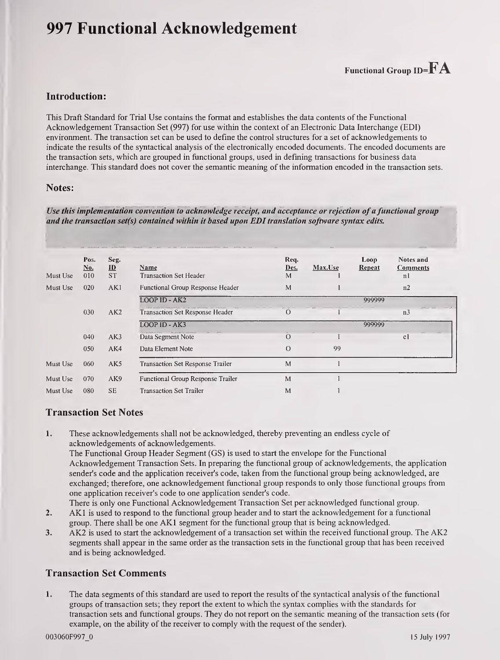## Functional Group ID= $\mathbf{FA}$

## Introduction:

This Draft Standard for Trial Use contains the format and establishes the data contents of the Functional Acknowledgement Transaction Set (997) for use within the context of an Electronic Data Interchange (EDI) environment. The transaction set can be used to define the control structures for a set of acknowledgements to indicate the results of the syntactical analysis of the electronically encoded documents. The encoded documents are the transaction sets, which are grouped in functional groups, used in defining transactions for business data interchange. This standard does not cover the semantic meaning of the information encoded in the transaction sets.

### Notes:

Use this implementation convention to acknowledge receipt, and acceptance or rejection of a functional group and the transaction set(s) contained within it based upon EDI translation software syntax edits.

| Must Use | Pos.<br><u>No.</u><br>010 | Seg.<br>$\underline{\mathbf{ID}}$<br><b>ST</b> | <b>Name</b><br><b>Transaction Set Header</b> | Req.<br>Des.<br>M | Max.Use | Loop<br>Repeat | ritmeter<br>Notes and<br><b>Comments</b><br>n <sub>l</sub> |
|----------|---------------------------|------------------------------------------------|----------------------------------------------|-------------------|---------|----------------|------------------------------------------------------------|
| Must Use | 020                       | AK1                                            | Functional Group Response Header             | M                 |         |                | n2                                                         |
|          |                           |                                                | $LOOP$ ID - AK2                              |                   |         | 999999         |                                                            |
|          | 030                       | AK2                                            | <b>Transaction Set Response Header</b>       | О                 |         |                | where we<br>n <sub>3</sub>                                 |
|          |                           |                                                | LOOP ID - AK3                                |                   |         | 999999         |                                                            |
|          | 040                       | AK3                                            | Data Segment Note                            | $\overline{O}$    |         |                | <sub>c</sub>                                               |
|          | 050                       | AK4                                            | Data Element Note                            | O                 | 99      |                |                                                            |
| Must Use | 060                       | AK5                                            | Transaction Set Response Trailer             | M                 |         |                |                                                            |
| Must Use | 070                       | AK9                                            | Functional Group Response Trailer            | M                 |         |                |                                                            |
| Must Use | 080                       | <b>SE</b>                                      | <b>Transaction Set Trailer</b>               | M                 |         |                |                                                            |

## Transaction Set Notes

1. These acknowledgements shall not be acknowledged, thereby preventing an endless cycle of acknowledgements of acknowledgements.

The Functional Group Header Segment (GS) is used to start the envelope for the Functional Acknowledgement Transaction Sets. In preparing the functional group of acknowledgements, the application sender's code and the application receiver's code, taken from the functional group being acknowledged, are exchanged; therefore, one acknowledgement functional group responds to only those functional groups from one application receiver's code to one application sender's code.

There is only one Functional Acknowledgement Transaction Set per acknowledged functional group.

- 2. AK1 is used to respond to the functional group header and to start the acknowledgement for a functional group. There shall be one AKl segment for the functional group that is being acknowledged.
- 3. AK2 is used to start the acknowledgement of <sup>a</sup> transaction set within the received functional group. The AK2 segments shall appear in the same order as the transaction sets in the functional group that has been received and is being acknowledged.

## Transaction Set Comments

1. The data segments of this standard are used to report the results of the syntactical analysis of the functional groups of transaction sets; they report the extent to which the syntax complies with the standards for transaction sets and functional groups. They do not report on the semantic meaning of the transaction sets (for example, on the ability of the receiver to comply with the request of the sender).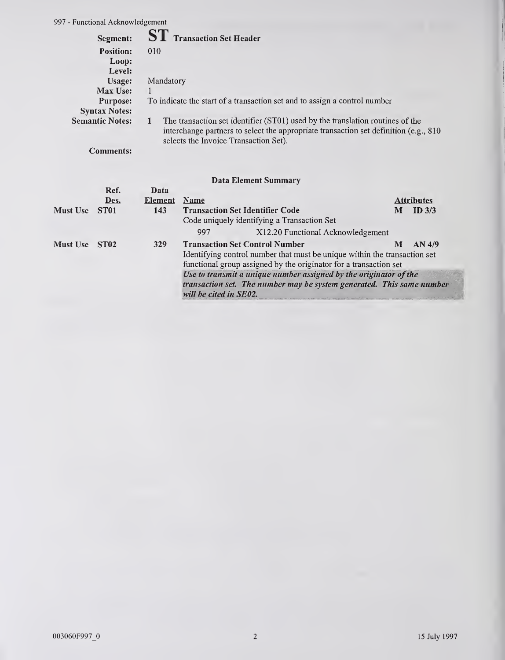| Segment:               | <b>ST</b> Transaction Set Header                                                                                                                                                                                |
|------------------------|-----------------------------------------------------------------------------------------------------------------------------------------------------------------------------------------------------------------|
| <b>Position:</b>       | 010                                                                                                                                                                                                             |
| Loop:                  |                                                                                                                                                                                                                 |
| Level:                 |                                                                                                                                                                                                                 |
| Usage:                 | Mandatory                                                                                                                                                                                                       |
| Max Use:               |                                                                                                                                                                                                                 |
| <b>Purpose:</b>        | To indicate the start of a transaction set and to assign a control number                                                                                                                                       |
| <b>Syntax Notes:</b>   |                                                                                                                                                                                                                 |
| <b>Semantic Notes:</b> | The transaction set identifier (ST01) used by the translation routines of the<br>interchange partners to select the appropriate transaction set definition (e.g., 810)<br>selects the Invoice Transaction Set). |
| <b>Comments:</b>       |                                                                                                                                                                                                                 |

## Data Element Summary

|                 | Ref.             | Data           |                                                                                                                                                                                                                                                                                             |   |                   |
|-----------------|------------------|----------------|---------------------------------------------------------------------------------------------------------------------------------------------------------------------------------------------------------------------------------------------------------------------------------------------|---|-------------------|
|                 | Des.             | <b>Element</b> | <b>Name</b>                                                                                                                                                                                                                                                                                 |   | <b>Attributes</b> |
| <b>Must Use</b> | ST <sub>01</sub> | 143            | <b>Transaction Set Identifier Code</b>                                                                                                                                                                                                                                                      | M | ID $3/3$          |
|                 |                  |                | Code uniquely identifying a Transaction Set                                                                                                                                                                                                                                                 |   |                   |
|                 |                  |                | X12.20 Functional Acknowledgement<br>997                                                                                                                                                                                                                                                    |   |                   |
| <b>Must Use</b> | ST <sub>02</sub> | <b>329</b>     | <b>Transaction Set Control Number</b>                                                                                                                                                                                                                                                       |   | AN 4/9            |
|                 |                  |                | Identifying control number that must be unique within the transaction set<br>functional group assigned by the originator for a transaction set                                                                                                                                              |   |                   |
|                 |                  |                | Use to transmit a unique number assigned by the originator of the<br>transaction set. The number may be system generated. This same number<br>will be cited in SE02.<br>and a second to make be a second and several second of the content of the second second second second second second |   |                   |
|                 |                  |                |                                                                                                                                                                                                                                                                                             |   |                   |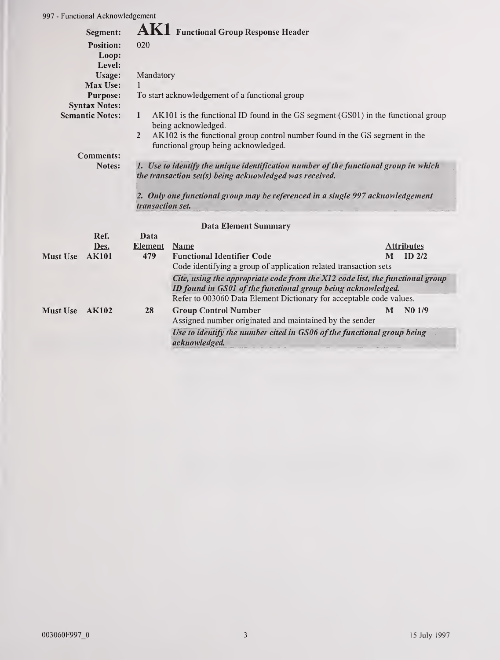|                 | Segment:               |                  | AK1 Functional Group Response Header                                                                                                                                                                                 |   |                    |
|-----------------|------------------------|------------------|----------------------------------------------------------------------------------------------------------------------------------------------------------------------------------------------------------------------|---|--------------------|
|                 | <b>Position:</b>       | 020              |                                                                                                                                                                                                                      |   |                    |
|                 | Loop:                  |                  |                                                                                                                                                                                                                      |   |                    |
|                 | Level:                 |                  |                                                                                                                                                                                                                      |   |                    |
|                 | Usage:                 | Mandatory        |                                                                                                                                                                                                                      |   |                    |
|                 | Max Use:               | 1                |                                                                                                                                                                                                                      |   |                    |
|                 | <b>Purpose:</b>        |                  | To start acknowledgement of a functional group                                                                                                                                                                       |   |                    |
|                 | <b>Syntax Notes:</b>   |                  |                                                                                                                                                                                                                      |   |                    |
|                 | <b>Semantic Notes:</b> | $\mathbf{1}$     | $AK101$ is the functional ID found in the GS segment $(GS01)$ in the functional group<br>being acknowledged.                                                                                                         |   |                    |
|                 |                        | $\overline{2}$   | AK102 is the functional group control number found in the GS segment in the<br>functional group being acknowledged.                                                                                                  |   |                    |
|                 | <b>Comments:</b>       |                  |                                                                                                                                                                                                                      |   |                    |
|                 |                        |                  | the transaction set(s) being acknowledged was received.                                                                                                                                                              |   |                    |
|                 |                        | transaction set. | 2. Only one functional group may be referenced in a single 997 acknowledgement                                                                                                                                       |   |                    |
|                 | Ref.                   | Data             | <b>Data Element Summary</b>                                                                                                                                                                                          |   |                    |
|                 | Des.                   | <b>Element</b>   | <b>Name</b>                                                                                                                                                                                                          |   | <b>Attributes</b>  |
| <b>Must Use</b> | <b>AK101</b>           | 479              | <b>Functional Identifier Code</b><br>Code identifying a group of application related transaction sets                                                                                                                | M | $ID$ $2/2$         |
|                 |                        |                  | Cite, using the appropriate code from the X12 code list, the functional group<br>ID found in GS01 of the functional group being acknowledged.<br>Refer to 003060 Data Element Dictionary for acceptable code values. |   |                    |
| <b>Must Use</b> | <b>AK102</b>           | 28               | <b>Group Control Number</b><br>Assigned number originated and maintained by the sender                                                                                                                               | M | N <sub>0</sub> 1/9 |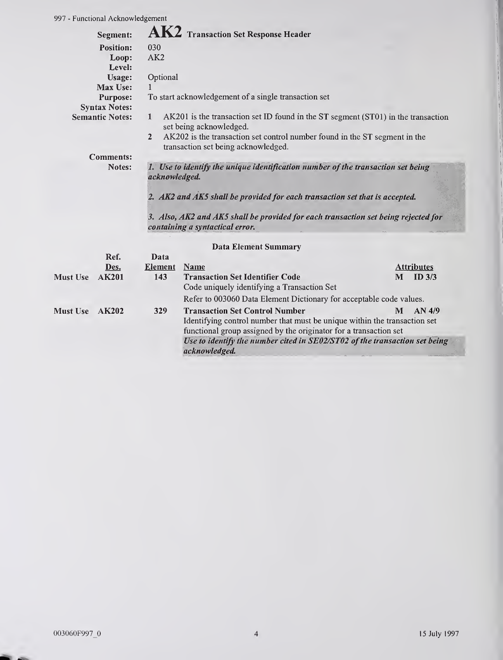|                 | Segment:                                |                 | AK2 Transaction Set Response Header                                                                                                                                                                                                                                                    |   |                   |
|-----------------|-----------------------------------------|-----------------|----------------------------------------------------------------------------------------------------------------------------------------------------------------------------------------------------------------------------------------------------------------------------------------|---|-------------------|
|                 | <b>Position:</b>                        | 030             |                                                                                                                                                                                                                                                                                        |   |                   |
|                 | Loop:                                   | AK <sub>2</sub> |                                                                                                                                                                                                                                                                                        |   |                   |
|                 | Level:                                  |                 |                                                                                                                                                                                                                                                                                        |   |                   |
|                 | Usage:                                  | Optional        |                                                                                                                                                                                                                                                                                        |   |                   |
|                 | Max Use:                                | Т.              |                                                                                                                                                                                                                                                                                        |   |                   |
|                 | <b>Purpose:</b><br><b>Syntax Notes:</b> |                 | To start acknowledgement of a single transaction set                                                                                                                                                                                                                                   |   |                   |
|                 | <b>Semantic Notes:</b>                  | $\mathbf{1}$    | AK201 is the transaction set ID found in the ST segment (ST01) in the transaction<br>set being acknowledged.                                                                                                                                                                           |   |                   |
|                 |                                         | $\overline{2}$  | AK202 is the transaction set control number found in the ST segment in the<br>transaction set being acknowledged.                                                                                                                                                                      |   |                   |
|                 | <b>Comments:</b>                        |                 |                                                                                                                                                                                                                                                                                        |   |                   |
|                 |                                         | acknowledged.   | 2. AK2 and AK5 shall be provided for each transaction set that is accepted.<br>3. Also, AK2 and AK5 shall be provided for each transaction set being rejected for<br>containing a syntactical error.                                                                                   |   |                   |
|                 |                                         |                 | <b>Data Element Summary</b>                                                                                                                                                                                                                                                            |   |                   |
|                 | Ref.                                    | Data            |                                                                                                                                                                                                                                                                                        |   |                   |
|                 | Des.                                    | <b>Element</b>  | Name                                                                                                                                                                                                                                                                                   |   | <b>Attributes</b> |
| <b>Must Use</b> | <b>AK201</b>                            | 143             | <b>Transaction Set Identifier Code</b><br>Code uniquely identifying a Transaction Set                                                                                                                                                                                                  | M | ID $3/3$          |
|                 |                                         |                 | Refer to 003060 Data Element Dictionary for acceptable code values.                                                                                                                                                                                                                    |   |                   |
| <b>Must Use</b> | <b>AK202</b>                            | 329             | <b>Transaction Set Control Number</b><br>Identifying control number that must be unique within the transaction set<br>functional group assigned by the originator for a transaction set<br>Use to identify the number cited in SE02/ST02 of the transaction set being<br>acknowledged. | M | $AN$ 4/9          |
|                 |                                         |                 |                                                                                                                                                                                                                                                                                        |   |                   |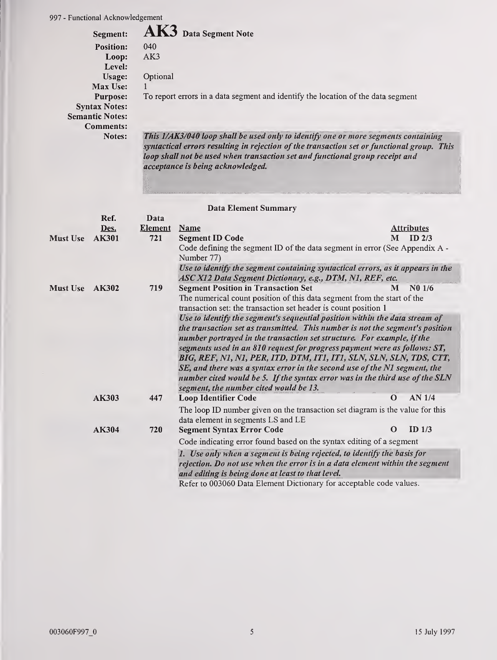|                 | Segment:                   | $227 - 1$ differential Acknowledgement | AK3 Data Segment Note                                                                                                                                                                                                           |                              |  |  |
|-----------------|----------------------------|----------------------------------------|---------------------------------------------------------------------------------------------------------------------------------------------------------------------------------------------------------------------------------|------------------------------|--|--|
|                 |                            | 040                                    |                                                                                                                                                                                                                                 |                              |  |  |
|                 | <b>Position:</b><br>Loop:  | AK3                                    |                                                                                                                                                                                                                                 |                              |  |  |
|                 | Level:                     |                                        |                                                                                                                                                                                                                                 |                              |  |  |
|                 | Usage:                     | Optional                               |                                                                                                                                                                                                                                 |                              |  |  |
|                 | Max Use:                   |                                        |                                                                                                                                                                                                                                 |                              |  |  |
|                 | <b>Purpose:</b>            |                                        | To report errors in a data segment and identify the location of the data segment                                                                                                                                                |                              |  |  |
|                 | <b>Syntax Notes:</b>       |                                        |                                                                                                                                                                                                                                 |                              |  |  |
|                 | <b>Semantic Notes:</b>     |                                        |                                                                                                                                                                                                                                 |                              |  |  |
|                 | <b>Comments:</b><br>Notes: |                                        | This 1/AK3/040 loop shall be used only to identify one or more segments containing                                                                                                                                              |                              |  |  |
|                 |                            |                                        | syntactical errors resulting in rejection of the transaction set or functional group. This                                                                                                                                      |                              |  |  |
|                 |                            |                                        | loop shall not be used when transaction set and functional group receipt and                                                                                                                                                    |                              |  |  |
|                 |                            |                                        | acceptance is being acknowledged.                                                                                                                                                                                               |                              |  |  |
|                 |                            |                                        |                                                                                                                                                                                                                                 |                              |  |  |
|                 |                            |                                        |                                                                                                                                                                                                                                 |                              |  |  |
|                 |                            |                                        |                                                                                                                                                                                                                                 |                              |  |  |
|                 | Ref.                       | Data                                   | Data Element Summary                                                                                                                                                                                                            |                              |  |  |
|                 | Des.                       | <b>Element</b>                         | <b>Name</b>                                                                                                                                                                                                                     | <b>Attributes</b>            |  |  |
| <b>Must Use</b> | <b>AK301</b>               | 721                                    | <b>Segment ID Code</b>                                                                                                                                                                                                          | ID $2/3$<br>M                |  |  |
|                 |                            |                                        | Code defining the segment ID of the data segment in error (See Appendix A -                                                                                                                                                     |                              |  |  |
|                 |                            |                                        | Number 77)                                                                                                                                                                                                                      |                              |  |  |
|                 |                            |                                        | Use to identify the segment containing syntactical errors, as it appears in the                                                                                                                                                 |                              |  |  |
|                 |                            |                                        | ASC X12 Data Segment Dictionary, e.g., DTM, N1, REF, etc.                                                                                                                                                                       |                              |  |  |
| Must Use AK302  |                            | 719                                    | <b>Segment Position in Transaction Set</b>                                                                                                                                                                                      | N <sub>0</sub> 1/6<br>M      |  |  |
|                 |                            |                                        | The numerical count position of this data segment from the start of the                                                                                                                                                         |                              |  |  |
|                 |                            |                                        | transaction set: the transaction set header is count position 1<br>Use to identify the segment's sequential position within the data stream of<br>the transaction set as transmitted. This number is not the segment's position |                              |  |  |
|                 |                            |                                        |                                                                                                                                                                                                                                 |                              |  |  |
|                 |                            |                                        | number portrayed in the transaction set structure. For example, if the                                                                                                                                                          |                              |  |  |
|                 |                            |                                        | segments used in an 810 request for progress payment were as follows: ST,                                                                                                                                                       |                              |  |  |
|                 |                            |                                        | BIG, REF, N1, N1, PER, ITD, DTM, IT1, IT1, SLN, SLN, SLN, TDS, CTT,                                                                                                                                                             |                              |  |  |
|                 |                            |                                        | SE, and there was a syntax error in the second use of the N1 segment, the                                                                                                                                                       |                              |  |  |
|                 |                            |                                        | number cited would be 5. If the syntax error was in the third use of the $SLN$                                                                                                                                                  |                              |  |  |
|                 |                            |                                        | segment, the number cited would be 13.                                                                                                                                                                                          |                              |  |  |
|                 | AK303                      | 447                                    | <b>Loop Identifier Code</b>                                                                                                                                                                                                     | <b>AN 1/4</b><br>$\mathbf O$ |  |  |
|                 |                            |                                        | The loop ID number given on the transaction set diagram is the value for this                                                                                                                                                   |                              |  |  |
|                 |                            |                                        | data element in segments LS and LE                                                                                                                                                                                              | ID $1/3$<br>$\Omega$         |  |  |
|                 | AK304                      | 720                                    | <b>Segment Syntax Error Code</b>                                                                                                                                                                                                |                              |  |  |
|                 |                            |                                        | Code indicating error found based on the syntax editing of a segment                                                                                                                                                            |                              |  |  |
|                 |                            |                                        | 1. Use only when a segment is being rejected, to identify the basis for                                                                                                                                                         |                              |  |  |
|                 |                            |                                        | rejection. Do not use when the error is in a data element within the segment<br>and editing is being done at least to that level.                                                                                               |                              |  |  |
|                 |                            |                                        | Refer to 003060 Data Element Dictionary for acceptable code values.                                                                                                                                                             |                              |  |  |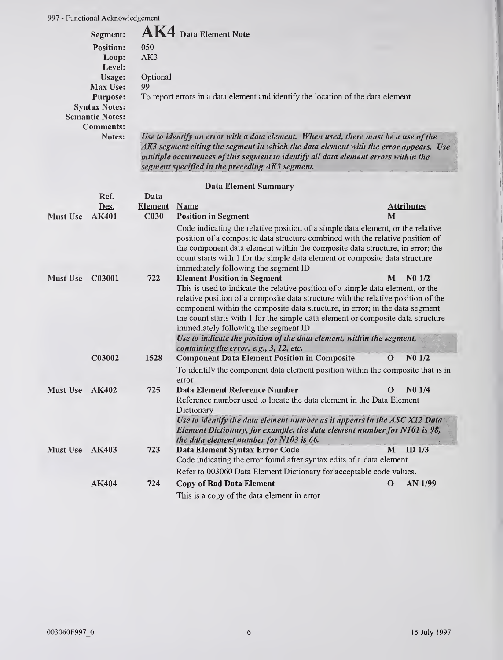|                 | $227 - 1$ anchonal Acknowledgement |                               |                                                                                                                                                                                                                                                                                                                                                                                                                       |                         |         |
|-----------------|------------------------------------|-------------------------------|-----------------------------------------------------------------------------------------------------------------------------------------------------------------------------------------------------------------------------------------------------------------------------------------------------------------------------------------------------------------------------------------------------------------------|-------------------------|---------|
|                 | Segment:                           |                               | AK4 Data Element Note                                                                                                                                                                                                                                                                                                                                                                                                 |                         |         |
|                 | <b>Position:</b>                   | 050                           |                                                                                                                                                                                                                                                                                                                                                                                                                       |                         |         |
|                 | Loop:<br>Level:                    | AK3                           |                                                                                                                                                                                                                                                                                                                                                                                                                       |                         |         |
|                 | Usage:                             | Optional                      |                                                                                                                                                                                                                                                                                                                                                                                                                       |                         |         |
|                 | Max Use:                           | 99                            |                                                                                                                                                                                                                                                                                                                                                                                                                       |                         |         |
|                 | <b>Purpose:</b>                    |                               | To report errors in a data element and identify the location of the data element                                                                                                                                                                                                                                                                                                                                      |                         |         |
|                 | <b>Syntax Notes:</b>               |                               |                                                                                                                                                                                                                                                                                                                                                                                                                       |                         |         |
|                 | <b>Semantic Notes:</b>             |                               |                                                                                                                                                                                                                                                                                                                                                                                                                       |                         |         |
|                 | <b>Comments:</b>                   |                               |                                                                                                                                                                                                                                                                                                                                                                                                                       |                         |         |
|                 | Notes:                             |                               | Use to identify an error with a data element. When used, there must be a use of the<br>AK3 segment citing the segment in which the data element with the error appears. Use<br>multiple occurrences of this segment to identify all data element errors within the<br>segment specified in the preceding AK3 segment.                                                                                                 |                         |         |
|                 |                                    |                               | <b>Data Element Summary</b>                                                                                                                                                                                                                                                                                                                                                                                           |                         |         |
|                 | Ref.                               | Data                          |                                                                                                                                                                                                                                                                                                                                                                                                                       |                         |         |
| <b>Must Use</b> | Des.<br><b>AK401</b>               | <b>Element</b><br><b>C030</b> | <b>Name</b><br><b>Position in Segment</b>                                                                                                                                                                                                                                                                                                                                                                             | <b>Attributes</b><br>M  |         |
|                 |                                    |                               | Code indicating the relative position of a simple data element, or the relative                                                                                                                                                                                                                                                                                                                                       |                         |         |
|                 |                                    |                               | position of a composite data structure combined with the relative position of<br>the component data element within the composite data structure, in error; the<br>count starts with 1 for the simple data element or composite data structure<br>immediately following the segment ID                                                                                                                                 |                         |         |
| <b>Must Use</b> | C03001                             | 722                           | <b>Element Position in Segment</b><br>This is used to indicate the relative position of a simple data element, or the<br>relative position of a composite data structure with the relative position of the<br>component within the composite data structure, in error; in the data segment<br>the count starts with 1 for the simple data element or composite data structure<br>immediately following the segment ID | M<br>N <sub>0</sub> 1/2 |         |
|                 |                                    |                               | Use to indicate the position of the data element, within the segment,                                                                                                                                                                                                                                                                                                                                                 |                         |         |
|                 |                                    |                               | containing the error, e.g., 3, 12, etc.                                                                                                                                                                                                                                                                                                                                                                               |                         |         |
|                 | C03002                             | 1528                          | <b>Component Data Element Position in Composite</b><br>To identify the component data element position within the composite that is in                                                                                                                                                                                                                                                                                | $\mathbf 0$<br>$N0$ 1/2 |         |
|                 |                                    |                               | error                                                                                                                                                                                                                                                                                                                                                                                                                 |                         |         |
| <b>Must Use</b> | <b>AK402</b>                       | 725                           | Data Element Reference Number<br>Reference number used to locate the data element in the Data Element<br>Dictionary                                                                                                                                                                                                                                                                                                   | N <sub>0</sub> 1/4<br>O |         |
|                 |                                    |                               | Use to identify the data element number as it appears in the ASC X12 Data<br>Element Dictionary, for example, the data element number for N101 is 98,<br>the data element number for N103 is 66.                                                                                                                                                                                                                      |                         |         |
| <b>Must Use</b> | <b>AK403</b>                       | 723                           | Data Element Syntax Error Code                                                                                                                                                                                                                                                                                                                                                                                        | ID $1/3$<br>M           |         |
|                 |                                    |                               | Code indicating the error found after syntax edits of a data element                                                                                                                                                                                                                                                                                                                                                  |                         |         |
|                 |                                    |                               | Refer to 003060 Data Element Dictionary for acceptable code values.                                                                                                                                                                                                                                                                                                                                                   |                         |         |
|                 | AK404                              | 724                           | <b>Copy of Bad Data Element</b>                                                                                                                                                                                                                                                                                                                                                                                       | $\mathbf 0$             | AN 1/99 |
|                 |                                    |                               | This is a copy of the data element in error                                                                                                                                                                                                                                                                                                                                                                           |                         |         |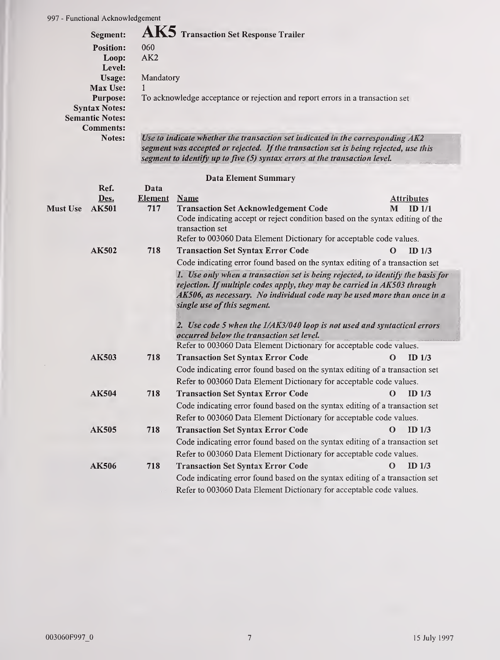|                 | 997 - Functional Acknowledgement           |                                                                                                                                                                                                                                                                                                                                                                                                |                                                                                                                                                                                                                                                      |              |                   |
|-----------------|--------------------------------------------|------------------------------------------------------------------------------------------------------------------------------------------------------------------------------------------------------------------------------------------------------------------------------------------------------------------------------------------------------------------------------------------------|------------------------------------------------------------------------------------------------------------------------------------------------------------------------------------------------------------------------------------------------------|--------------|-------------------|
|                 | Segment:                                   |                                                                                                                                                                                                                                                                                                                                                                                                | AK5 Transaction Set Response Trailer                                                                                                                                                                                                                 |              |                   |
|                 | <b>Position:</b>                           | 060                                                                                                                                                                                                                                                                                                                                                                                            |                                                                                                                                                                                                                                                      |              |                   |
|                 | Loop:                                      | AK <sub>2</sub>                                                                                                                                                                                                                                                                                                                                                                                |                                                                                                                                                                                                                                                      |              |                   |
|                 | Level:                                     |                                                                                                                                                                                                                                                                                                                                                                                                |                                                                                                                                                                                                                                                      |              |                   |
|                 | Usage:                                     | Mandatory                                                                                                                                                                                                                                                                                                                                                                                      |                                                                                                                                                                                                                                                      |              |                   |
|                 | Max Use:                                   |                                                                                                                                                                                                                                                                                                                                                                                                |                                                                                                                                                                                                                                                      |              |                   |
|                 | <b>Purpose:</b>                            |                                                                                                                                                                                                                                                                                                                                                                                                | To acknowledge acceptance or rejection and report errors in a transaction set                                                                                                                                                                        |              |                   |
|                 | <b>Syntax Notes:</b>                       |                                                                                                                                                                                                                                                                                                                                                                                                |                                                                                                                                                                                                                                                      |              |                   |
|                 | <b>Semantic Notes:</b><br><b>Comments:</b> |                                                                                                                                                                                                                                                                                                                                                                                                |                                                                                                                                                                                                                                                      |              |                   |
|                 | Notes:                                     |                                                                                                                                                                                                                                                                                                                                                                                                | Use to indicate whether the transaction set indicated in the corresponding AK2<br>segment was accepted or rejected. If the transaction set is being rejected, use this<br>segment to identify up to five (5) syntax errors at the transaction level. |              |                   |
|                 |                                            |                                                                                                                                                                                                                                                                                                                                                                                                | <b>Data Element Summary</b>                                                                                                                                                                                                                          |              |                   |
|                 | Ref.                                       | Data                                                                                                                                                                                                                                                                                                                                                                                           |                                                                                                                                                                                                                                                      |              |                   |
|                 | Des.                                       | <b>Element</b>                                                                                                                                                                                                                                                                                                                                                                                 | <b>Name</b>                                                                                                                                                                                                                                          |              | <b>Attributes</b> |
| <b>Must Use</b> | <b>AK501</b>                               | 717                                                                                                                                                                                                                                                                                                                                                                                            | <b>Transaction Set Acknowledgement Code</b><br>Code indicating accept or reject condition based on the syntax editing of the<br>transaction set<br>Refer to 003060 Data Element Dictionary for acceptable code values.                               | M            | $ID$ $1/1$        |
|                 | <b>AK502</b>                               | 718                                                                                                                                                                                                                                                                                                                                                                                            | <b>Transaction Set Syntax Error Code</b>                                                                                                                                                                                                             | $\bf{O}$     | ID $1/3$          |
|                 |                                            |                                                                                                                                                                                                                                                                                                                                                                                                | Code indicating error found based on the syntax editing of a transaction set                                                                                                                                                                         |              |                   |
|                 |                                            | 1. Use only when a transaction set is being rejected, to identify the basis for<br>rejection. If multiple codes apply, they may be carried in AK503 through<br>AK506, as necessary. No individual code may be used more than once in a<br>single use of this segment.<br>2. Use code 5 when the 1/AK3/040 loop is not used and syntactical errors<br>occurred below the transaction set level. |                                                                                                                                                                                                                                                      |              |                   |
|                 |                                            |                                                                                                                                                                                                                                                                                                                                                                                                | Refer to 003060 Data Element Dictionary for acceptable code values.                                                                                                                                                                                  |              |                   |
|                 | AK503                                      | 718                                                                                                                                                                                                                                                                                                                                                                                            | <b>Transaction Set Syntax Error Code</b>                                                                                                                                                                                                             | $\mathbf{O}$ | ID $1/3$          |
|                 |                                            |                                                                                                                                                                                                                                                                                                                                                                                                | Code indicating error found based on the syntax editing of a transaction set                                                                                                                                                                         |              |                   |
|                 |                                            |                                                                                                                                                                                                                                                                                                                                                                                                | Refer to 003060 Data Element Dictionary for acceptable code values.                                                                                                                                                                                  |              |                   |
|                 | <b>AK504</b>                               | 718                                                                                                                                                                                                                                                                                                                                                                                            | <b>Transaction Set Syntax Error Code</b>                                                                                                                                                                                                             | $\mathbf 0$  | ID 1/3            |
|                 |                                            |                                                                                                                                                                                                                                                                                                                                                                                                | Code indicating error found based on the syntax editing of a transaction set                                                                                                                                                                         |              |                   |
|                 |                                            |                                                                                                                                                                                                                                                                                                                                                                                                | Refer to 003060 Data Element Dictionary for acceptable code values.                                                                                                                                                                                  |              |                   |

Transaction Set Syntax Error Code O ID 1/3 Code indicating error found based on the syntax editing of a transaction set

Refer to 003060 Data Element Dictionary for acceptable code values. Transaction Set Syntax Error Code O ID 1/3 Code indicating error found based on the syntax editing of a transaction set

Refer to 003060 Data Element Dictionary for acceptable code values.

AK505

718

718

AK506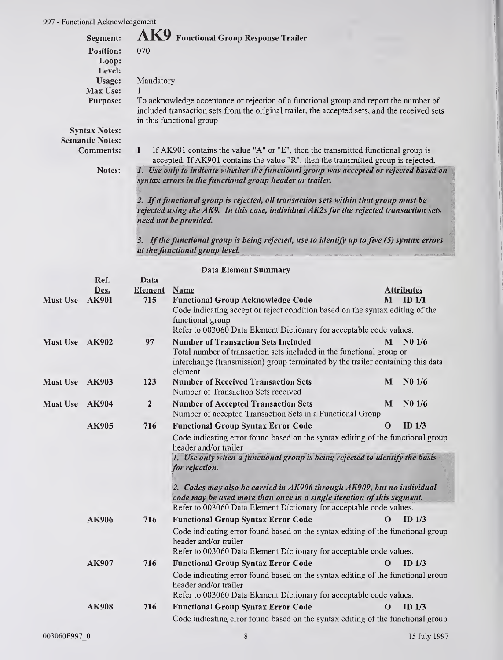| Segment:                        |                                                                                                                                                                                        | AK9 Functional Group Response Trailer                                                                                                                                                                                                                                                                                                                                                                                                                        |                   |
|---------------------------------|----------------------------------------------------------------------------------------------------------------------------------------------------------------------------------------|--------------------------------------------------------------------------------------------------------------------------------------------------------------------------------------------------------------------------------------------------------------------------------------------------------------------------------------------------------------------------------------------------------------------------------------------------------------|-------------------|
| <b>Position:</b>                | 070                                                                                                                                                                                    |                                                                                                                                                                                                                                                                                                                                                                                                                                                              |                   |
|                                 | Loop:                                                                                                                                                                                  |                                                                                                                                                                                                                                                                                                                                                                                                                                                              |                   |
|                                 | Level:                                                                                                                                                                                 |                                                                                                                                                                                                                                                                                                                                                                                                                                                              |                   |
|                                 | Usage:<br>Mandatory                                                                                                                                                                    |                                                                                                                                                                                                                                                                                                                                                                                                                                                              |                   |
| Max Use:                        |                                                                                                                                                                                        |                                                                                                                                                                                                                                                                                                                                                                                                                                                              |                   |
| <b>Purpose:</b>                 | To acknowledge acceptance or rejection of a functional group and report the number of<br>included transaction sets from the original trailer, the accepted sets, and the received sets |                                                                                                                                                                                                                                                                                                                                                                                                                                                              |                   |
| <b>Syntax Notes:</b>            |                                                                                                                                                                                        |                                                                                                                                                                                                                                                                                                                                                                                                                                                              |                   |
| <b>Semantic Notes:</b>          |                                                                                                                                                                                        |                                                                                                                                                                                                                                                                                                                                                                                                                                                              |                   |
| <b>Comments:</b>                | 1                                                                                                                                                                                      | If AK901 contains the value "A" or "E", then the transmitted functional group is<br>accepted. If AK901 contains the value "R", then the transmitted group is rejected.                                                                                                                                                                                                                                                                                       |                   |
|                                 | Notes:                                                                                                                                                                                 | 1. Use only to indicate whether the functional group was accepted or rejected based on<br>syntax errors in the functional group header or trailer.<br>2. If a functional group is rejected, all transaction sets within that group must be<br>rejected using the AK9. In this case, individual AK2s for the rejected transaction sets<br>need not be provided.<br>3. If the functional group is being rejected, use to identify up to five (5) syntax errors |                   |
|                                 |                                                                                                                                                                                        | at the functional group level.                                                                                                                                                                                                                                                                                                                                                                                                                               |                   |
|                                 |                                                                                                                                                                                        | <b>Data Element Summary</b>                                                                                                                                                                                                                                                                                                                                                                                                                                  |                   |
| Ref.                            | Data                                                                                                                                                                                   |                                                                                                                                                                                                                                                                                                                                                                                                                                                              |                   |
| Des.                            | <b>Element</b>                                                                                                                                                                         | <b>Name</b>                                                                                                                                                                                                                                                                                                                                                                                                                                                  | <b>Attributes</b> |
| <b>Must Use</b><br><b>AK901</b> | 715                                                                                                                                                                                    | <b>Functional Group Acknowledge Code</b><br>Code indicating accept or reject condition based on the syntax editing of the<br>functional group<br>Refer to 003060 Data Element Dictionary for acceptable code values.                                                                                                                                                                                                                                         | $ID$ $1/1$<br>M   |
|                                 |                                                                                                                                                                                        |                                                                                                                                                                                                                                                                                                                                                                                                                                                              |                   |

|                | Total number of transaction sets included in the functional group or<br>interchange (transmission) group terminated by the trailer containing this data<br>element |                                                                                   |   |        |
|----------------|--------------------------------------------------------------------------------------------------------------------------------------------------------------------|-----------------------------------------------------------------------------------|---|--------|
| Must Use AK903 | <b>123</b>                                                                                                                                                         | <b>Number of Received Transaction Sets</b><br>Number of Transaction Sets received | M | NO 1/6 |
|                |                                                                                                                                                                    |                                                                                   |   |        |

| <b>Must Use</b> | <b>AK904</b> | $\overline{2}$ | <b>Number of Accepted Transaction Sets</b><br>Number of accepted Transaction Sets in a Functional Group                                                                                                                 | M           | $N0$ 1/6 |
|-----------------|--------------|----------------|-------------------------------------------------------------------------------------------------------------------------------------------------------------------------------------------------------------------------|-------------|----------|
|                 | <b>AK905</b> | 716            | <b>Functional Group Syntax Error Code</b>                                                                                                                                                                               | $\mathbf O$ | ID $1/3$ |
|                 |              |                | Code indicating error found based on the syntax editing of the functional group<br>header and/or trailer                                                                                                                |             |          |
|                 |              |                | 1. Use only when a functional group is being rejected to identify the basis<br>for rejection.                                                                                                                           |             |          |
|                 |              |                | 2. Codes may also be carried in AK906 through AK909, but no individual<br>code may be used more than once in a single iteration of this segment.<br>Refer to 003060 Data Element Dictionary for acceptable code values. |             |          |
|                 | AK906        | 716            | <b>Functional Group Syntax Error Code</b>                                                                                                                                                                               | $\Omega$    | ID $1/3$ |
|                 |              |                | Code indicating error found based on the syntax editing of the functional group<br>header and/or trailer<br>Refer to 003060 Data Element Dictionary for acceptable code values.                                         |             |          |
|                 | AK907        | 716            | <b>Functional Group Syntax Error Code</b>                                                                                                                                                                               | O           | ID $1/3$ |
|                 |              |                | Code indicating error found based on the syntax editing of the functional group<br>header and/or trailer<br>Refer to 003060 Data Element Dictionary for acceptable code values.                                         |             |          |

AK908 716 Functional Group Syntax Error Code O ID 1/3 Code indicating error found based on the syntax editing of the functional group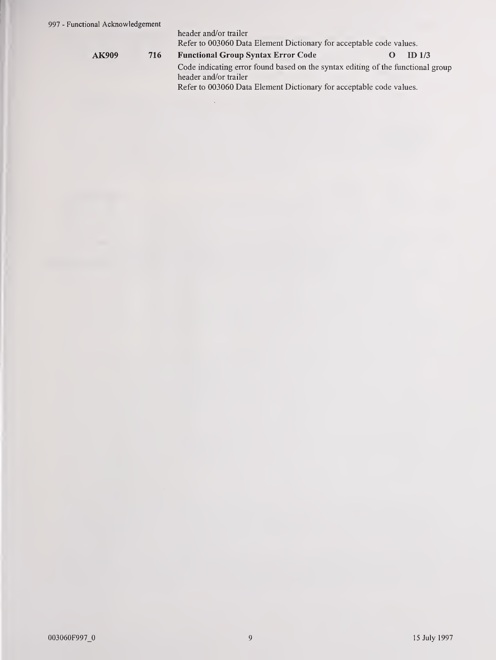header and/or trailer Refer to 003060 Data Element Dictionary for acceptable code values. AK909 <sup>716</sup> Functional Group Syntax Error Code O ID 1/3 Code indicating error found based on the syntax editing of the functional group

> header and/or trailer Refer to 003060 Data Element Dictionary for acceptable code values.

> > $\hat{\mathcal{A}}$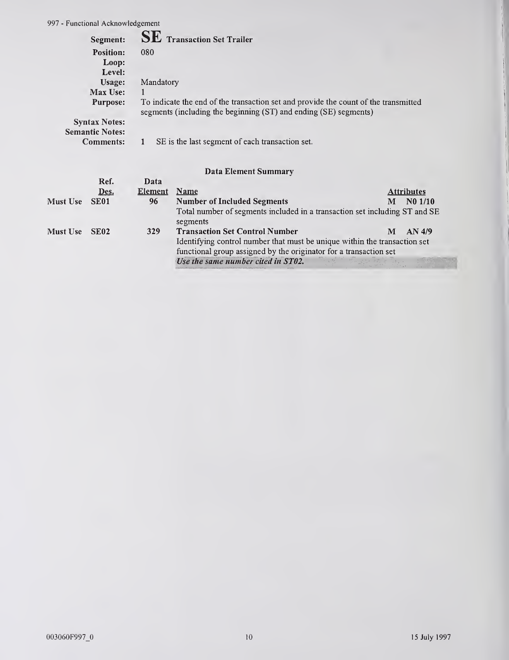| Segment:               | <b>SE</b> Transaction Set Trailer                                                                                                                       |
|------------------------|---------------------------------------------------------------------------------------------------------------------------------------------------------|
| <b>Position:</b>       | 080                                                                                                                                                     |
| Loop:                  |                                                                                                                                                         |
| Level:                 |                                                                                                                                                         |
| Usage:                 | Mandatory                                                                                                                                               |
| Max Use:               |                                                                                                                                                         |
| <b>Purpose:</b>        | To indicate the end of the transaction set and provide the count of the transmitted<br>segments (including the beginning (ST) and ending (SE) segments) |
| <b>Syntax Notes:</b>   |                                                                                                                                                         |
| <b>Semantic Notes:</b> |                                                                                                                                                         |
| <b>Comments:</b>       | SE is the last segment of each transaction set.                                                                                                         |

## Data Element Summary

|          | Ref.             | Data           |                                                                                        |   |                   |  |
|----------|------------------|----------------|----------------------------------------------------------------------------------------|---|-------------------|--|
|          | Des.             | <b>Element</b> | Name                                                                                   |   | <b>Attributes</b> |  |
| Must Use | SE <sub>01</sub> | 96             | <b>Number of Included Segments</b>                                                     | M | $N0$ 1/10         |  |
|          |                  |                | Total number of segments included in a transaction set including ST and SE<br>segments |   |                   |  |
| Must Use | SE <sub>02</sub> | 329            | <b>Transaction Set Control Number</b>                                                  | M | $AN$ 4/9          |  |
|          |                  |                | Identifying control number that must be unique within the transaction set              |   |                   |  |
|          |                  |                | functional group assigned by the originator for a transaction set                      |   |                   |  |
|          |                  |                | Use the same number cited in ST02.                                                     |   |                   |  |

翠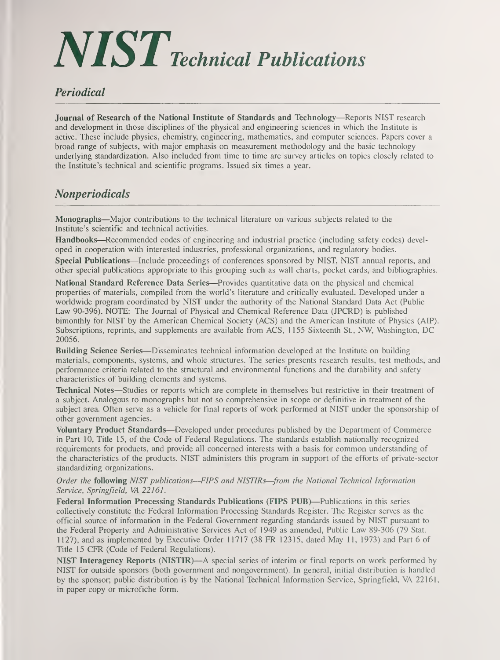# NIST Technical Publications

## Periodical

Journal of Research of the National Institute of Standards and Technology—Reports NIST research and development in those disciplines of the physical and engineering sciences in which the Institute is active. These include physics, chemistry, engineering, mathematics, and computer sciences. Papers cover a broad range of subjects, with major emphasis on measurement methodology and the basic technology underlying standardization. Also included from time to time are survey articles on topics closely related to the Institute's technical and scientific programs. Issued six times a year.

## Nonperiodicals

Monographs—Major contributions to the technical literature on various subjects related to the Institute's scientific and technical activities.

Handbooks—Recommended codes of engineering and industrial practice (including safety codes) developed in cooperation with interested industries, professional organizations, and regulatory bodies.

Special Publications—Include proceedings of conferences sponsored by NIST, NIST annual reports, and other special publications appropriate to this grouping such as wall charts, pocket cards, and bibliographies.

National Standard Reference Data Series—Provides quantitative data on the physical and chemical properties of materials, compiled from the world's literature and critically evaluated. Developed under a worldwide program coordinated by NIST under the authority of the National Standard Data Act (Public Law 90-396). NOTE: The Journal of Physical and Chemical Reference Data (JPCRD) is published bimonthly for NIST by the American Chemical Society (ACS) and the American Institute of Physics (AIP). Subscriptions, reprints, and supplements are available from ACS, <sup>1155</sup> Sixteenth St., NW, Washington, DC 20056.

Building Science Series—Disseminates technical information developed at the Institute on building materials, components, systems, and whole structures. The series presents research results, test methods, and performance criteria related to the structural and environmental functions and the durability and safety characteristics of building elements and systems.

Technical Notes—Studies or reports which are complete in themselves but restrictive in their treatment of a subject. Analogous to monographs but not so comprehensive in scope or definitive in treatment of the subject area. Often serve as a vehicle for final reports of work performed at NIST under the sponsorship of other government agencies.

Voluntary Product Standards—Developed under procedures published by the Department of Commerce in Part 10, Title 15, of the Code of Federal Regulations. The standards establish nationally recognized requirements for products, and provide all concerned interests with a basis for common understanding of the characteristics of the products. NIST administers this program in support of the efforts of private-sector standardizing organizations.

#### Order the following NIST publications—FIPS and NISTIRs—from the National Technical Information Service, Springfield, VA 22161.

Federal Information Processing Standards Publications (FIPS PUB)—Publications in this series collectively constitute the Federal Information Processing Standards Register. The Register serves as the official source of information in the Federal Government regarding standards issued by NIST pursuant to the Federal Property and Administrative Services Act of 1949 as amended. Public Law 89-306 (79 Stat. 1127), and as implemented by Executive Order 11717 (38 FR 12315, dated May 11, 1973) and Part 6 of Title <sup>15</sup> CFR (Code of Federal Regulations).

NIST Interagency Reports (NISTIR)—<sup>A</sup> special series of interim or final reports on work performed by NIST for outside sponsors (both government and nongovernment). In general, initial distribution is handled by the sponsor; public distribution is by the National Technical Information Service, Springfield, VA 22161, in paper copy or microfiche form.